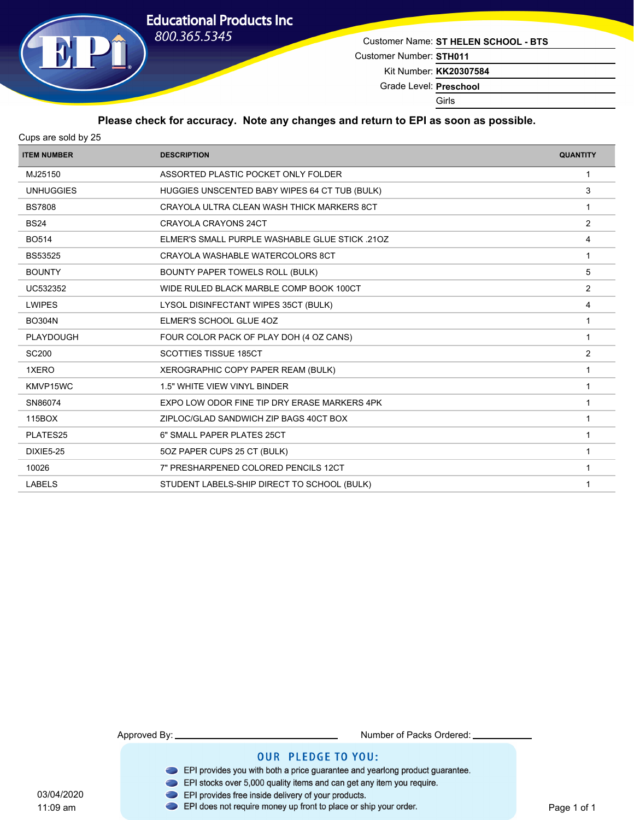

Customer Name: **ST HELEN SCHOOL - BTS**

Customer Number: **STH011**

Kit Number: **KK20307584**

Grade Level: **Preschool**

Girls

### **Please check for accuracy. Note any changes and return to EPI as soon as possible.**

| <b>ITEM NUMBER</b> | <b>DESCRIPTION</b>                             | <b>QUANTITY</b> |
|--------------------|------------------------------------------------|-----------------|
| MJ25150            | ASSORTED PLASTIC POCKET ONLY FOLDER            | -1              |
| <b>UNHUGGIES</b>   | HUGGIES UNSCENTED BABY WIPES 64 CT TUB (BULK)  | 3               |
| <b>BS7808</b>      | CRAYOLA ULTRA CLEAN WASH THICK MARKERS 8CT     | -1              |
| <b>BS24</b>        | <b>CRAYOLA CRAYONS 24CT</b>                    | 2               |
| <b>BO514</b>       | ELMER'S SMALL PURPLE WASHABLE GLUE STICK .210Z | 4               |
| <b>BS53525</b>     | CRAYOLA WASHABLE WATERCOLORS 8CT               | $\mathbf 1$     |
| <b>BOUNTY</b>      | BOUNTY PAPER TOWELS ROLL (BULK)                | 5               |
| UC532352           | WIDE RULED BLACK MARBLE COMP BOOK 100CT        | $\overline{2}$  |
| <b>LWIPES</b>      | LYSOL DISINFECTANT WIPES 35CT (BULK)           | 4               |
| <b>BO304N</b>      | ELMER'S SCHOOL GLUE 4OZ                        |                 |
| PLAYDOUGH          | FOUR COLOR PACK OF PLAY DOH (4 OZ CANS)        | -1              |
| <b>SC200</b>       | <b>SCOTTIES TISSUE 185CT</b>                   | 2               |
| 1XERO              | XEROGRAPHIC COPY PAPER REAM (BULK)             | 1               |
| KMVP15WC           | <b>1.5" WHITE VIEW VINYL BINDER</b>            | $\mathbf{1}$    |
| SN86074            | EXPO LOW ODOR FINE TIP DRY ERASE MARKERS 4PK   | 1               |
| 115BOX             | ZIPLOC/GLAD SANDWICH ZIP BAGS 40CT BOX         | 1               |
| PLATES25           | 6" SMALL PAPER PLATES 25CT                     | -1              |
| <b>DIXIE5-25</b>   | 50Z PAPER CUPS 25 CT (BULK)                    | 1               |
| 10026              | 7" PRESHARPENED COLORED PENCILS 12CT           |                 |
| <b>LABELS</b>      | STUDENT LABELS-SHIP DIRECT TO SCHOOL (BULK)    | 1               |
|                    |                                                |                 |

11:09 am

Approved By: Number of Packs Ordered:

- EPI provides you with both a price guarantee and yearlong product guarantee.
- EPI stocks over 5,000 quality items and can get any item you require.
- 
- 03/04/2020<br>11:09 am **DEPI** provides free inside delivery of your products.<br>11:09 am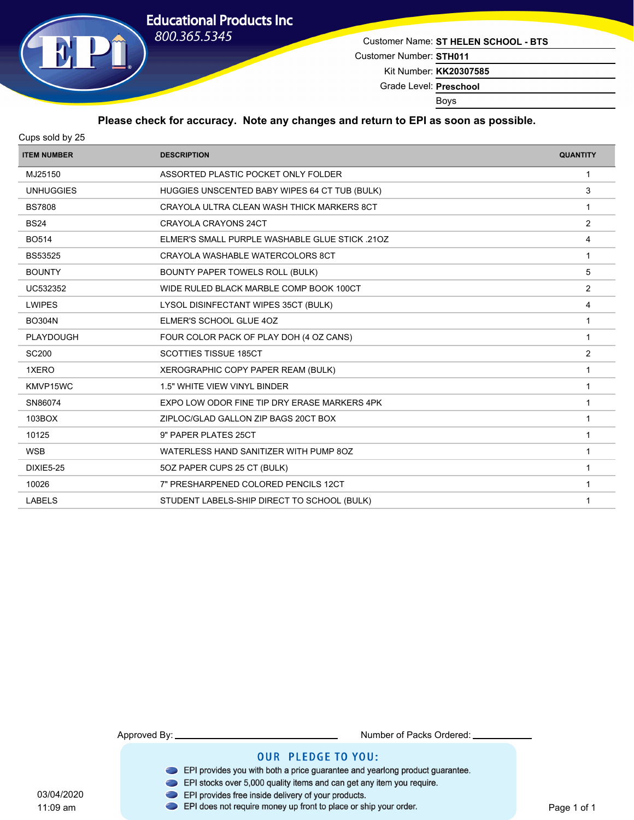

Customer Name: **ST HELEN SCHOOL - BTS**

Customer Number: **STH011**

Kit Number: **KK20307585**

Grade Level: **Preschool**

Boys

### **Please check for accuracy. Note any changes and return to EPI as soon as possible.**

| <b>ITEM NUMBER</b> | <b>DESCRIPTION</b>                             | <b>QUANTITY</b> |
|--------------------|------------------------------------------------|-----------------|
| MJ25150            | ASSORTED PLASTIC POCKET ONLY FOLDER            | $\mathbf{1}$    |
| <b>UNHUGGIES</b>   | HUGGIES UNSCENTED BABY WIPES 64 CT TUB (BULK)  | 3               |
| <b>BS7808</b>      | CRAYOLA ULTRA CLEAN WASH THICK MARKERS 8CT     | -1              |
| <b>BS24</b>        | <b>CRAYOLA CRAYONS 24CT</b>                    | $\overline{2}$  |
| <b>BO514</b>       | ELMER'S SMALL PURPLE WASHABLE GLUE STICK .210Z | $\overline{4}$  |
| <b>BS53525</b>     | CRAYOLA WASHABLE WATERCOLORS 8CT               | $\mathbf{1}$    |
| <b>BOUNTY</b>      | BOUNTY PAPER TOWELS ROLL (BULK)                | 5               |
| UC532352           | WIDE RULED BLACK MARBLE COMP BOOK 100CT        | 2               |
| <b>LWIPES</b>      | LYSOL DISINFECTANT WIPES 35CT (BULK)           | $\overline{4}$  |
| <b>BO304N</b>      | ELMER'S SCHOOL GLUE 4OZ                        | 1               |
| <b>PLAYDOUGH</b>   | FOUR COLOR PACK OF PLAY DOH (4 OZ CANS)        | $\mathbf{1}$    |
| <b>SC200</b>       | <b>SCOTTIES TISSUE 185CT</b>                   | 2               |
| 1XERO              | XEROGRAPHIC COPY PAPER REAM (BULK)             | 1               |
| KMVP15WC           | 1.5" WHITE VIEW VINYL BINDER                   | -1              |
| SN86074            | EXPO LOW ODOR FINE TIP DRY ERASE MARKERS 4PK   | $\mathbf{1}$    |
| 103BOX             | ZIPLOC/GLAD GALLON ZIP BAGS 20CT BOX           | $\mathbf 1$     |
| 10125              | 9" PAPER PLATES 25CT                           | $\overline{1}$  |
| <b>WSB</b>         | WATERLESS HAND SANITIZER WITH PUMP 8OZ         | $\mathbf{1}$    |
| <b>DIXIE5-25</b>   | 50Z PAPER CUPS 25 CT (BULK)                    | $\mathbf{1}$    |
| 10026              | 7" PRESHARPENED COLORED PENCILS 12CT           | $\mathbf 1$     |
| <b>LABELS</b>      | STUDENT LABELS-SHIP DIRECT TO SCHOOL (BULK)    | 1               |
|                    |                                                |                 |

11:09 am

Approved By: Number of Packs Ordered:

- EPI provides you with both a price guarantee and yearlong product guarantee.
- EPI stocks over 5,000 quality items and can get any item you require.
- 
- 03/04/2020<br>11:09 am **DEPI** provides free inside delivery of your products.<br>11:09 am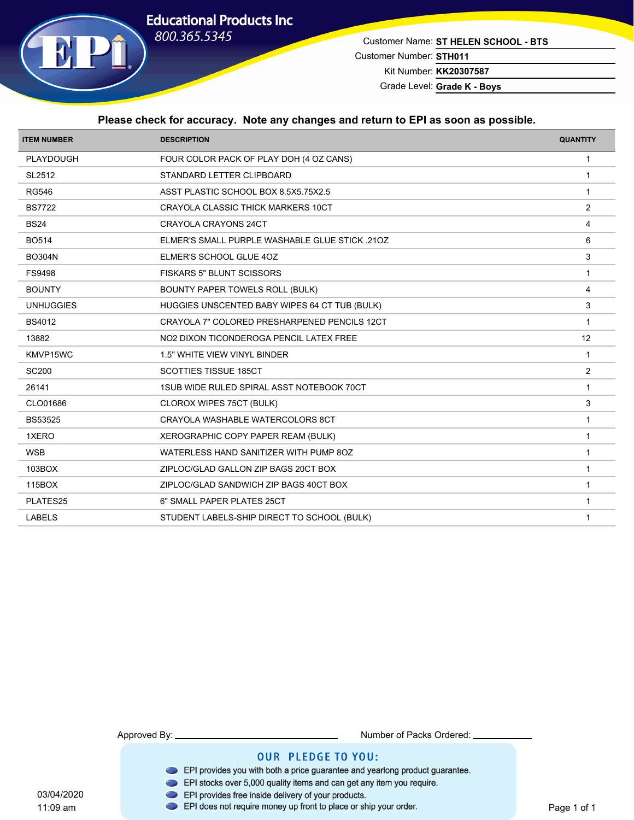

Customer Name: **ST HELEN SCHOOL - BTS** Customer Number: **STH011**

Kit Number: **KK20307587**

Grade Level: Grade K - Boys

#### **Please check for accuracy. Note any changes and return to EPI as soon as possible.**

| <b>ITEM NUMBER</b> | <b>DESCRIPTION</b>                             | <b>QUANTITY</b> |
|--------------------|------------------------------------------------|-----------------|
| PLAYDOUGH          | FOUR COLOR PACK OF PLAY DOH (4 OZ CANS)        | -1              |
| SL2512             | STANDARD LETTER CLIPBOARD                      | $\mathbf{1}$    |
| <b>RG546</b>       | ASST PLASTIC SCHOOL BOX 8.5X5.75X2.5           | -1              |
| <b>BS7722</b>      | CRAYOLA CLASSIC THICK MARKERS 10CT             | 2               |
| <b>BS24</b>        | CRAYOLA CRAYONS 24CT                           | $\overline{4}$  |
| <b>BO514</b>       | ELMER'S SMALL PURPLE WASHABLE GLUE STICK .210Z | 6               |
| <b>BO304N</b>      | ELMER'S SCHOOL GLUE 4OZ                        | 3               |
| <b>FS9498</b>      | FISKARS 5" BLUNT SCISSORS                      | $\mathbf{1}$    |
| <b>BOUNTY</b>      | BOUNTY PAPER TOWELS ROLL (BULK)                | $\overline{4}$  |
| <b>UNHUGGIES</b>   | HUGGIES UNSCENTED BABY WIPES 64 CT TUB (BULK)  | 3               |
| <b>BS4012</b>      | CRAYOLA 7" COLORED PRESHARPENED PENCILS 12CT   | $\mathbf{1}$    |
| 13882              | NO2 DIXON TICONDEROGA PENCIL LATEX FREE        | 12              |
| KMVP15WC           | 1.5" WHITE VIEW VINYL BINDER                   | $\mathbf{1}$    |
| <b>SC200</b>       | <b>SCOTTIES TISSUE 185CT</b>                   | 2               |
| 26141              | 1SUB WIDE RULED SPIRAL ASST NOTEBOOK 70CT      | $\overline{1}$  |
| CLO01686           | CLOROX WIPES 75CT (BULK)                       | 3               |
| <b>BS53525</b>     | CRAYOLA WASHABLE WATERCOLORS 8CT               | -1              |
| 1XERO              | XEROGRAPHIC COPY PAPER REAM (BULK)             | $\overline{1}$  |
| <b>WSB</b>         | WATERLESS HAND SANITIZER WITH PUMP 8OZ         | 1               |
| 103BOX             | ZIPLOC/GLAD GALLON ZIP BAGS 20CT BOX           | $\mathbf{1}$    |
| 115BOX             | ZIPLOC/GLAD SANDWICH ZIP BAGS 40CT BOX         | $\mathbf{1}$    |
| PLATES25           | 6" SMALL PAPER PLATES 25CT                     | $\overline{1}$  |
| <b>LABELS</b>      | STUDENT LABELS-SHIP DIRECT TO SCHOOL (BULK)    | -1              |
|                    |                                                |                 |

11:09 am

Approved By: Number of Packs Ordered:

- EPI provides you with both a price guarantee and yearlong product guarantee.
- EPI stocks over 5,000 quality items and can get any item you require.
- 
- 03/04/2020<br>11:09 am **DEPI** provides free inside delivery of your products.<br>11:09 am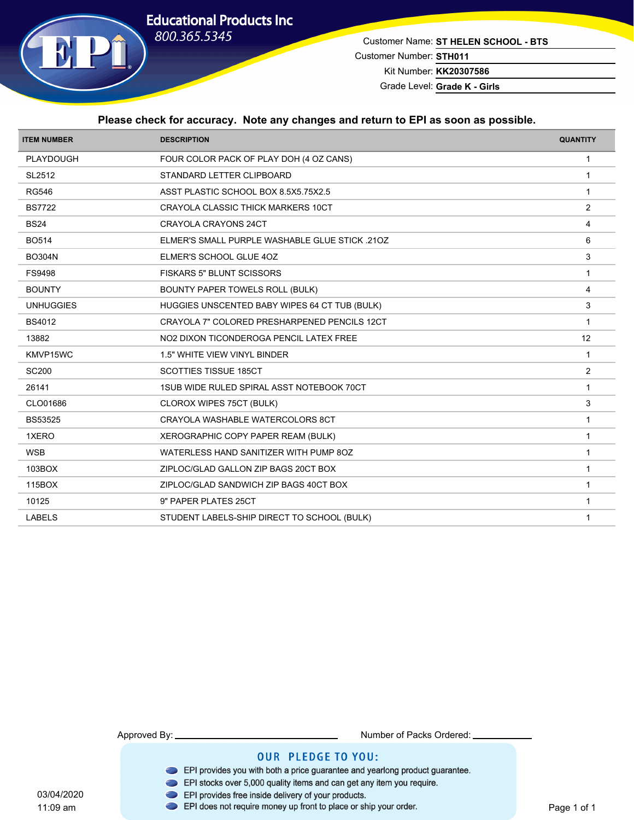

Customer Name: **ST HELEN SCHOOL - BTS** Customer Number: **STH011** Kit Number: **KK20307586**

Grade Level: Grade K - Girls

#### **Please check for accuracy. Note any changes and return to EPI as soon as possible.**

| <b>ITEM NUMBER</b> | <b>DESCRIPTION</b>                             | <b>QUANTITY</b> |
|--------------------|------------------------------------------------|-----------------|
| PLAYDOUGH          | FOUR COLOR PACK OF PLAY DOH (4 OZ CANS)        | -1              |
| SL2512             | STANDARD LETTER CLIPBOARD                      | $\mathbf{1}$    |
| <b>RG546</b>       | ASST PLASTIC SCHOOL BOX 8.5X5.75X2.5           | 1               |
| <b>BS7722</b>      | CRAYOLA CLASSIC THICK MARKERS 10CT             | 2               |
| <b>BS24</b>        | CRAYOLA CRAYONS 24CT                           | $\overline{4}$  |
| <b>BO514</b>       | ELMER'S SMALL PURPLE WASHABLE GLUE STICK .210Z | 6               |
| <b>BO304N</b>      | ELMER'S SCHOOL GLUE 4OZ                        | 3               |
| <b>FS9498</b>      | FISKARS 5" BLUNT SCISSORS                      | $\mathbf{1}$    |
| <b>BOUNTY</b>      | BOUNTY PAPER TOWELS ROLL (BULK)                | $\overline{4}$  |
| <b>UNHUGGIES</b>   | HUGGIES UNSCENTED BABY WIPES 64 CT TUB (BULK)  | 3               |
| <b>BS4012</b>      | CRAYOLA 7" COLORED PRESHARPENED PENCILS 12CT   | $\overline{1}$  |
| 13882              | NO2 DIXON TICONDEROGA PENCIL LATEX FREE        | 12              |
| KMVP15WC           | 1.5" WHITE VIEW VINYL BINDER                   | $\mathbf{1}$    |
| <b>SC200</b>       | <b>SCOTTIES TISSUE 185CT</b>                   | $\overline{2}$  |
| 26141              | 1SUB WIDE RULED SPIRAL ASST NOTEBOOK 70CT      | $\overline{1}$  |
| CLO01686           | CLOROX WIPES 75CT (BULK)                       | 3               |
| <b>BS53525</b>     | CRAYOLA WASHABLE WATERCOLORS 8CT               | $\overline{1}$  |
| 1XERO              | XEROGRAPHIC COPY PAPER REAM (BULK)             | $\overline{1}$  |
| <b>WSB</b>         | WATERLESS HAND SANITIZER WITH PUMP 8OZ         | $\mathbf{1}$    |
| 103BOX             | ZIPLOC/GLAD GALLON ZIP BAGS 20CT BOX           | $\mathbf{1}$    |
| 115BOX             | ZIPLOC/GLAD SANDWICH ZIP BAGS 40CT BOX         | $\mathbf{1}$    |
| 10125              | 9" PAPER PLATES 25CT                           | $\mathbf{1}$    |
| <b>LABELS</b>      | STUDENT LABELS-SHIP DIRECT TO SCHOOL (BULK)    | $\mathbf{1}$    |
|                    |                                                |                 |

11:09 am

Approved By: Number of Packs Ordered:

- EPI provides you with both a price guarantee and yearlong product guarantee.
- EPI stocks over 5,000 quality items and can get any item you require.
- 
- 03/04/2020<br>11:09 am **DEPI** provides free inside delivery of your products.<br>11:09 am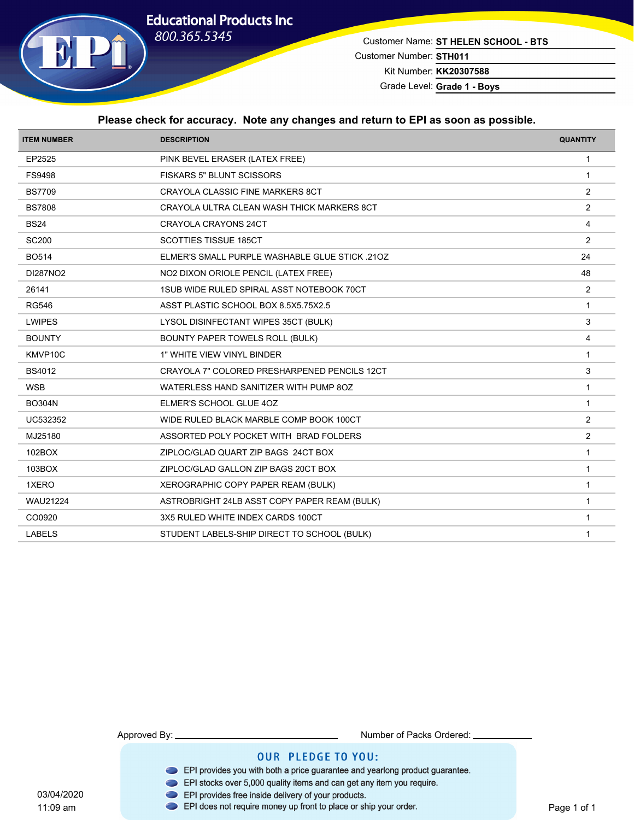

Customer Name: **ST HELEN SCHOOL - BTS** Customer Number: **STH011**

Kit Number: **KK20307588**

Grade Level: **Grade 1 - Boys**

#### **Please check for accuracy. Note any changes and return to EPI as soon as possible.**

| <b>ITEM NUMBER</b> | <b>DESCRIPTION</b>                             | <b>QUANTITY</b> |
|--------------------|------------------------------------------------|-----------------|
| EP2525             | PINK BEVEL ERASER (LATEX FREE)                 | $\mathbf{1}$    |
| FS9498             | <b>FISKARS 5" BLUNT SCISSORS</b>               | $\mathbf{1}$    |
| <b>BS7709</b>      | CRAYOLA CLASSIC FINE MARKERS 8CT               | $\overline{2}$  |
| <b>BS7808</b>      | CRAYOLA ULTRA CLEAN WASH THICK MARKERS 8CT     | $\overline{2}$  |
| <b>BS24</b>        | CRAYOLA CRAYONS 24CT                           | 4               |
| <b>SC200</b>       | <b>SCOTTIES TISSUE 185CT</b>                   | 2               |
| <b>BO514</b>       | ELMER'S SMALL PURPLE WASHABLE GLUE STICK .21OZ | 24              |
| DI287NO2           | NO2 DIXON ORIOLE PENCIL (LATEX FREE)           | 48              |
| 26141              | 1SUB WIDE RULED SPIRAL ASST NOTEBOOK 70CT      | 2               |
| <b>RG546</b>       | ASST PLASTIC SCHOOL BOX 8.5X5.75X2.5           | $\overline{1}$  |
| <b>LWIPES</b>      | LYSOL DISINFECTANT WIPES 35CT (BULK)           | 3               |
| <b>BOUNTY</b>      | BOUNTY PAPER TOWELS ROLL (BULK)                | 4               |
| KMVP10C            | 1" WHITE VIEW VINYL BINDER                     | $\mathbf{1}$    |
| <b>BS4012</b>      | CRAYOLA 7" COLORED PRESHARPENED PENCILS 12CT   | 3               |
| <b>WSB</b>         | WATERLESS HAND SANITIZER WITH PUMP 8OZ         | $\mathbf{1}$    |
| <b>BO304N</b>      | ELMER'S SCHOOL GLUE 4OZ                        | $\mathbf{1}$    |
| UC532352           | WIDE RULED BLACK MARBLE COMP BOOK 100CT        | 2               |
| MJ25180            | ASSORTED POLY POCKET WITH BRAD FOLDERS         | $\overline{2}$  |
| 102BOX             | ZIPLOC/GLAD QUART ZIP BAGS 24CT BOX            | $\mathbf{1}$    |
| 103BOX             | ZIPLOC/GLAD GALLON ZIP BAGS 20CT BOX           | $\mathbf{1}$    |
| 1XERO              | XEROGRAPHIC COPY PAPER REAM (BULK)             | $\mathbf{1}$    |
| <b>WAU21224</b>    | ASTROBRIGHT 24LB ASST COPY PAPER REAM (BULK)   | $\mathbf{1}$    |
| CO0920             | 3X5 RULED WHITE INDEX CARDS 100CT              | $\mathbf{1}$    |
| <b>LABELS</b>      | STUDENT LABELS-SHIP DIRECT TO SCHOOL (BULK)    | $\mathbf 1$     |
|                    |                                                |                 |

11:09 am

Approved By: Number of Packs Ordered:

- EPI provides you with both a price guarantee and yearlong product guarantee.
- EPI stocks over 5,000 quality items and can get any item you require.
- 
- 03/04/2020<br>11:09 am **DEPI** provides free inside delivery of your products.<br>11:09 am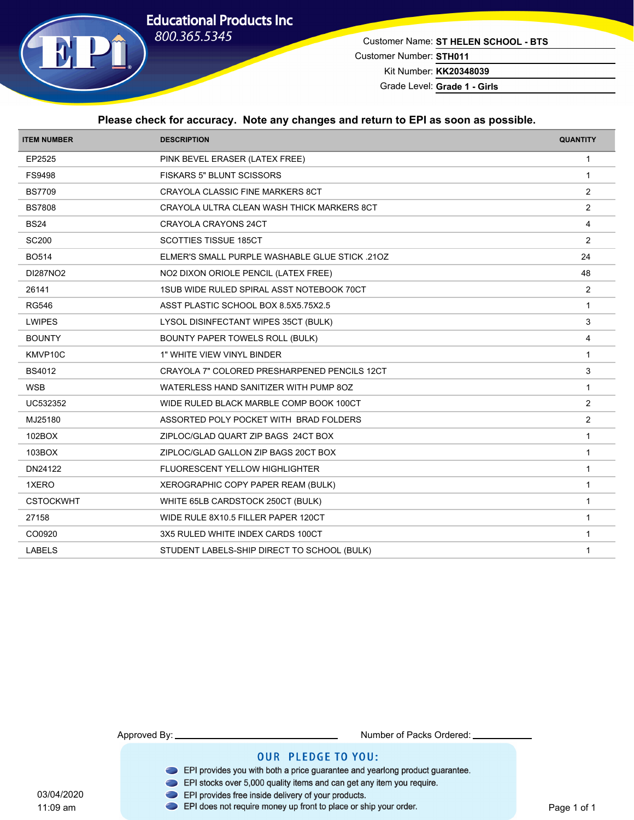

Customer Name: **ST HELEN SCHOOL - BTS** Customer Number: **STH011**

Kit Number: **KK20348039** Grade Level: **Grade 1 - Girls**

#### **Please check for accuracy. Note any changes and return to EPI as soon as possible.**

| <b>ITEM NUMBER</b> | <b>DESCRIPTION</b>                             | <b>QUANTITY</b> |
|--------------------|------------------------------------------------|-----------------|
| EP2525             | PINK BEVEL ERASER (LATEX FREE)                 | $\mathbf{1}$    |
| FS9498             | FISKARS 5" BLUNT SCISSORS                      | $\overline{1}$  |
| <b>BS7709</b>      | CRAYOLA CLASSIC FINE MARKERS 8CT               | $\overline{2}$  |
| <b>BS7808</b>      | CRAYOLA ULTRA CLEAN WASH THICK MARKERS 8CT     | 2               |
| <b>BS24</b>        | <b>CRAYOLA CRAYONS 24CT</b>                    | $\overline{4}$  |
| <b>SC200</b>       | <b>SCOTTIES TISSUE 185CT</b>                   | 2               |
| <b>BO514</b>       | ELMER'S SMALL PURPLE WASHABLE GLUE STICK .210Z | 24              |
| DI287NO2           | NO2 DIXON ORIOLE PENCIL (LATEX FREE)           | 48              |
| 26141              | 1SUB WIDE RULED SPIRAL ASST NOTEBOOK 70CT      | 2               |
| <b>RG546</b>       | ASST PLASTIC SCHOOL BOX 8.5X5.75X2.5           | $\mathbf{1}$    |
| <b>LWIPES</b>      | LYSOL DISINFECTANT WIPES 35CT (BULK)           | 3               |
| <b>BOUNTY</b>      | BOUNTY PAPER TOWELS ROLL (BULK)                | $\overline{4}$  |
| KMVP10C            | 1" WHITE VIEW VINYL BINDER                     | $\mathbf{1}$    |
| <b>BS4012</b>      | CRAYOLA 7" COLORED PRESHARPENED PENCILS 12CT   | 3               |
| <b>WSB</b>         | WATERLESS HAND SANITIZER WITH PUMP 8OZ         | $\overline{1}$  |
| UC532352           | WIDE RULED BLACK MARBLE COMP BOOK 100CT        | $\overline{2}$  |
| MJ25180            | ASSORTED POLY POCKET WITH BRAD FOLDERS         | $\overline{2}$  |
| 102BOX             | ZIPLOC/GLAD QUART ZIP BAGS 24CT BOX            | $\mathbf{1}$    |
| 103BOX             | ZIPLOC/GLAD GALLON ZIP BAGS 20CT BOX           | $\mathbf{1}$    |
| DN24122            | FLUORESCENT YELLOW HIGHLIGHTER                 | $\mathbf{1}$    |
| 1XERO              | XEROGRAPHIC COPY PAPER REAM (BULK)             | $\overline{1}$  |
| <b>CSTOCKWHT</b>   | WHITE 65LB CARDSTOCK 250CT (BULK)              | $\mathbf{1}$    |
| 27158              | WIDE RULE 8X10.5 FILLER PAPER 120CT            | $\mathbf{1}$    |
| CO0920             | 3X5 RULED WHITE INDEX CARDS 100CT              | $\mathbf{1}$    |
| <b>LABELS</b>      | STUDENT LABELS-SHIP DIRECT TO SCHOOL (BULK)    | $\mathbf{1}$    |
|                    |                                                |                 |

11:09 am

Approved By: Number of Packs Ordered:

- EPI provides you with both a price guarantee and yearlong product guarantee.
- EPI stocks over 5,000 quality items and can get any item you require.
- 
- 03/04/2020<br>11:09 am **DEPI** provides free inside delivery of your products.<br>11:09 am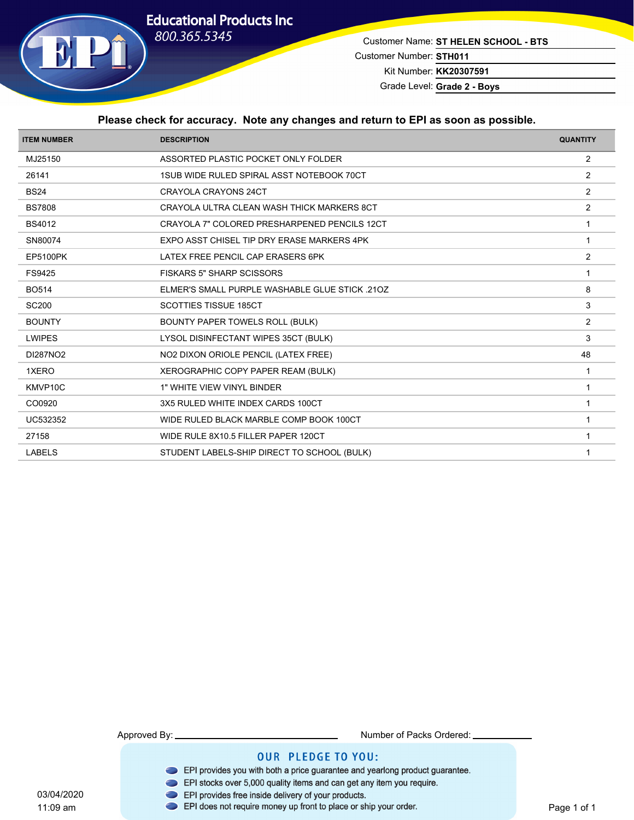# **Educational Products Inc** 800.365.5345



Customer Name: **ST HELEN SCHOOL - BTS** Customer Number: **STH011** Kit Number: **KK20307591**

Grade Level: **Grade 2 - Boys**

#### **Please check for accuracy. Note any changes and return to EPI as soon as possible.**

| <b>ITEM NUMBER</b> | <b>DESCRIPTION</b>                                    | <b>QUANTITY</b> |
|--------------------|-------------------------------------------------------|-----------------|
| MJ25150            | ASSORTED PLASTIC POCKET ONLY FOLDER                   | $\overline{2}$  |
| 26141              | 1SUB WIDE RULED SPIRAL ASST NOTEBOOK 70CT             | $\overline{2}$  |
| <b>BS24</b>        | <b>CRAYOLA CRAYONS 24CT</b>                           | $\overline{2}$  |
| <b>BS7808</b>      | CRAYOLA ULTRA CLEAN WASH THICK MARKERS 8CT            | 2               |
| <b>BS4012</b>      | CRAYOLA 7" COLORED PRESHARPENED PENCILS 12CT          |                 |
| SN80074            | EXPO ASST CHISEL TIP DRY ERASE MARKERS 4PK            | $\mathbf 1$     |
| <b>EP5100PK</b>    | LATEX FREE PENCIL CAP ERASERS 6PK                     | 2               |
| FS9425             | <b>FISKARS 5" SHARP SCISSORS</b>                      |                 |
| <b>BO514</b>       | <b>ELMER'S SMALL PURPLE WASHABLE GLUE STICK .210Z</b> | 8               |
| <b>SC200</b>       | <b>SCOTTIES TISSUE 185CT</b>                          | 3               |
| <b>BOUNTY</b>      | BOUNTY PAPER TOWELS ROLL (BULK)                       | $\overline{2}$  |
| <b>LWIPES</b>      | LYSOL DISINFECTANT WIPES 35CT (BULK)                  | 3               |
| DI287NO2           | NO2 DIXON ORIOLE PENCIL (LATEX FREE)                  | 48              |
| 1XERO              | XEROGRAPHIC COPY PAPER REAM (BULK)                    | -1              |
| KMVP10C            | 1" WHITE VIEW VINYL BINDER                            | $\overline{1}$  |
| CO0920             | 3X5 RULED WHITE INDEX CARDS 100CT                     |                 |
| UC532352           | WIDE RULED BLACK MARBLE COMP BOOK 100CT               |                 |
| 27158              | WIDE RULE 8X10.5 FILLER PAPER 120CT                   | $\overline{1}$  |
| <b>LABELS</b>      | STUDENT LABELS-SHIP DIRECT TO SCHOOL (BULK)           |                 |
|                    |                                                       |                 |

11:09 am

Approved By: Number of Packs Ordered:

- EPI provides you with both a price guarantee and yearlong product guarantee.
- EPI stocks over 5,000 quality items and can get any item you require.
- 
- 03/04/2020<br>11:09 am **DEPI** provides free inside delivery of your products.<br>11:09 am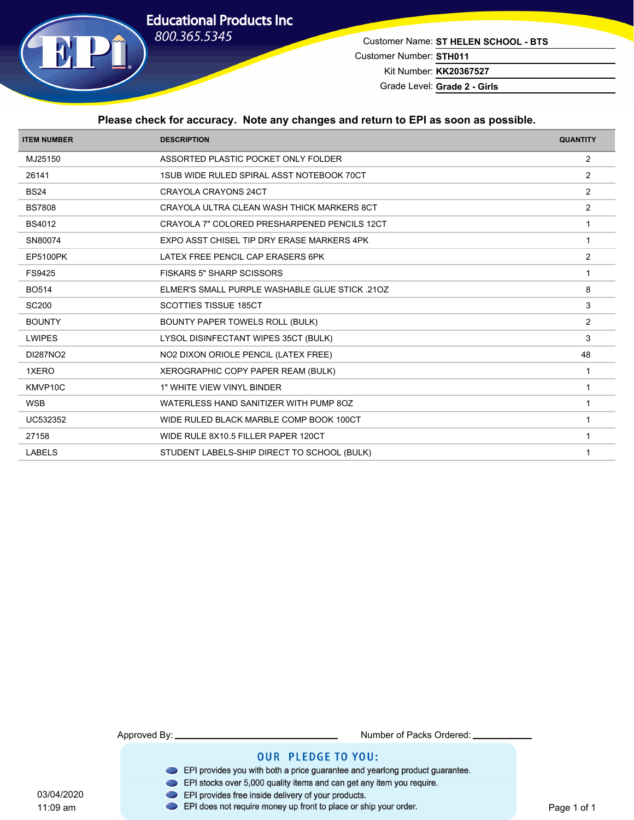# **Educational Products Inc** 800.365.5345



Customer Name: **ST HELEN SCHOOL - BTS** Customer Number: **STH011** Kit Number: **KK20367527**

Grade Level: **Grade 2 - Girls**

#### **Please check for accuracy. Note any changes and return to EPI as soon as possible.**

| <b>ITEM NUMBER</b> | <b>DESCRIPTION</b>                               | <b>QUANTITY</b> |
|--------------------|--------------------------------------------------|-----------------|
| MJ25150            | ASSORTED PLASTIC POCKET ONLY FOLDER              | $\overline{2}$  |
| 26141              | <b>1SUB WIDE RULED SPIRAL ASST NOTEBOOK 70CT</b> | 2               |
| <b>BS24</b>        | <b>CRAYOLA CRAYONS 24CT</b>                      | $\overline{2}$  |
| <b>BS7808</b>      | CRAYOLA ULTRA CLEAN WASH THICK MARKERS 8CT       | 2               |
| <b>BS4012</b>      | CRAYOLA 7" COLORED PRESHARPENED PENCILS 12CT     |                 |
| SN80074            | EXPO ASST CHISEL TIP DRY ERASE MARKERS 4PK       | $\mathbf 1$     |
| <b>EP5100PK</b>    | LATEX FREE PENCIL CAP ERASERS 6PK                | $\overline{2}$  |
| FS9425             | <b>FISKARS 5" SHARP SCISSORS</b>                 | 1               |
| <b>BO514</b>       | ELMER'S SMALL PURPLE WASHABLE GLUE STICK .210Z   | 8               |
| <b>SC200</b>       | <b>SCOTTIES TISSUE 185CT</b>                     | 3               |
| <b>BOUNTY</b>      | BOUNTY PAPER TOWELS ROLL (BULK)                  | $\overline{2}$  |
| <b>LWIPES</b>      | LYSOL DISINFECTANT WIPES 35CT (BULK)             | 3               |
| DI287NO2           | NO2 DIXON ORIOLE PENCIL (LATEX FREE)             | 48              |
| 1XERO              | XEROGRAPHIC COPY PAPER REAM (BULK)               | -1              |
| KMVP10C            | 1" WHITE VIEW VINYL BINDER                       | $\overline{1}$  |
| <b>WSB</b>         | WATERLESS HAND SANITIZER WITH PUMP 8OZ           |                 |
| UC532352           | WIDE RULED BLACK MARBLE COMP BOOK 100CT          |                 |
| 27158              | WIDE RULE 8X10.5 FILLER PAPER 120CT              |                 |
| <b>LABELS</b>      | STUDENT LABELS-SHIP DIRECT TO SCHOOL (BULK)      |                 |
|                    |                                                  |                 |

Approved By: Number of Packs Ordered: **OUR PLEDGE TO YOU:** 

- EPI provides you with both a price guarantee and yearlong product guarantee.
- EPI stocks over 5,000 quality items and can get any item you require.
- 03/04/2020<br>11:09 am **DEPI** provides free inside delivery of your products.<br>11:09 am
	-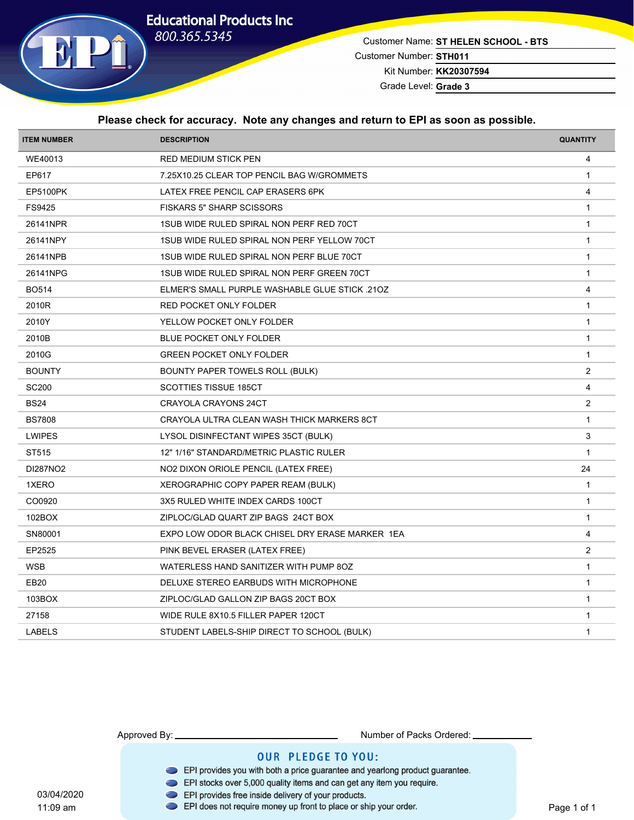

Customer Name: **ST HELEN SCHOOL - BTS** Customer Number: **STH011** Kit Number: **KK20307594**

Grade Level: **Grade 3**

#### **Please check for accuracy. Note any changes and return to EPI as soon as possible.**

| <b>ITEM NUMBER</b> | <b>DESCRIPTION</b>                              | <b>QUANTITY</b> |
|--------------------|-------------------------------------------------|-----------------|
| WE40013            | <b>RED MEDIUM STICK PEN</b>                     | 4               |
| EP617              | 7.25X10.25 CLEAR TOP PENCIL BAG W/GROMMETS      | $\mathbf{1}$    |
| <b>EP5100PK</b>    | LATEX FREE PENCIL CAP ERASERS 6PK               | 4               |
| FS9425             | <b>FISKARS 5" SHARP SCISSORS</b>                | $\mathbf{1}$    |
| 26141NPR           | 1SUB WIDE RULED SPIRAL NON PERF RED 70CT        | $\mathbf{1}$    |
| 26141NPY           | 1SUB WIDE RULED SPIRAL NON PERF YELLOW 70CT     | $\mathbf{1}$    |
| 26141NPB           | 1SUB WIDE RULED SPIRAL NON PERF BLUE 70CT       | $\mathbf{1}$    |
| 26141NPG           | 1SUB WIDE RULED SPIRAL NON PERF GREEN 70CT      | $\mathbf{1}$    |
| <b>BO514</b>       | ELMER'S SMALL PURPLE WASHABLE GLUE STICK .210Z  | $\overline{4}$  |
| 2010R              | RED POCKET ONLY FOLDER                          | $\mathbf{1}$    |
| 2010Y              | YELLOW POCKET ONLY FOLDER                       | $\mathbf{1}$    |
| 2010B              | BLUE POCKET ONLY FOLDER                         | $\mathbf{1}$    |
| 2010G              | <b>GREEN POCKET ONLY FOLDER</b>                 | $\mathbf{1}$    |
| <b>BOUNTY</b>      | <b>BOUNTY PAPER TOWELS ROLL (BULK)</b>          | 2               |
| <b>SC200</b>       | <b>SCOTTIES TISSUE 185CT</b>                    | $\overline{4}$  |
| <b>BS24</b>        | CRAYOLA CRAYONS 24CT                            | $\overline{2}$  |
| <b>BS7808</b>      | CRAYOLA ULTRA CLEAN WASH THICK MARKERS 8CT      | $\mathbf{1}$    |
| <b>LWIPES</b>      | LYSOL DISINFECTANT WIPES 35CT (BULK)            | 3               |
| ST515              | 12" 1/16" STANDARD/METRIC PLASTIC RULER         | $\mathbf{1}$    |
| DI287NO2           | NO2 DIXON ORIOLE PENCIL (LATEX FREE)            | 24              |
| 1XERO              | XEROGRAPHIC COPY PAPER REAM (BULK)              | $\mathbf{1}$    |
| CO0920             | 3X5 RULED WHITE INDEX CARDS 100CT               | $\overline{1}$  |
| 102BOX             | ZIPLOC/GLAD QUART ZIP BAGS 24CT BOX             | $\mathbf{1}$    |
| SN80001            | EXPO LOW ODOR BLACK CHISEL DRY ERASE MARKER 1EA | $\overline{4}$  |
| EP2525             | PINK BEVEL ERASER (LATEX FREE)                  | 2               |
| <b>WSB</b>         | WATERLESS HAND SANITIZER WITH PUMP 8OZ          | $\mathbf{1}$    |
| <b>EB20</b>        | DELUXE STEREO EARBUDS WITH MICROPHONE           | $\mathbf{1}$    |
| 103BOX             | ZIPLOC/GLAD GALLON ZIP BAGS 20CT BOX            | $\mathbf{1}$    |
| 27158              | WIDE RULE 8X10.5 FILLER PAPER 120CT             | $\mathbf{1}$    |
| <b>LABELS</b>      | STUDENT LABELS-SHIP DIRECT TO SCHOOL (BULK)     | $\mathbf{1}$    |

11:09 am

Approved By: Number of Packs Ordered:

### **OUR PLEDGE TO YOU:**

- EPI provides you with both a price guarantee and yearlong product guarantee.
- EPI stocks over 5,000 quality items and can get any item you require.
- 03/04/2020 EPI provides free inside delivery of your products.

#### EPI does not require money up front to place or ship your order.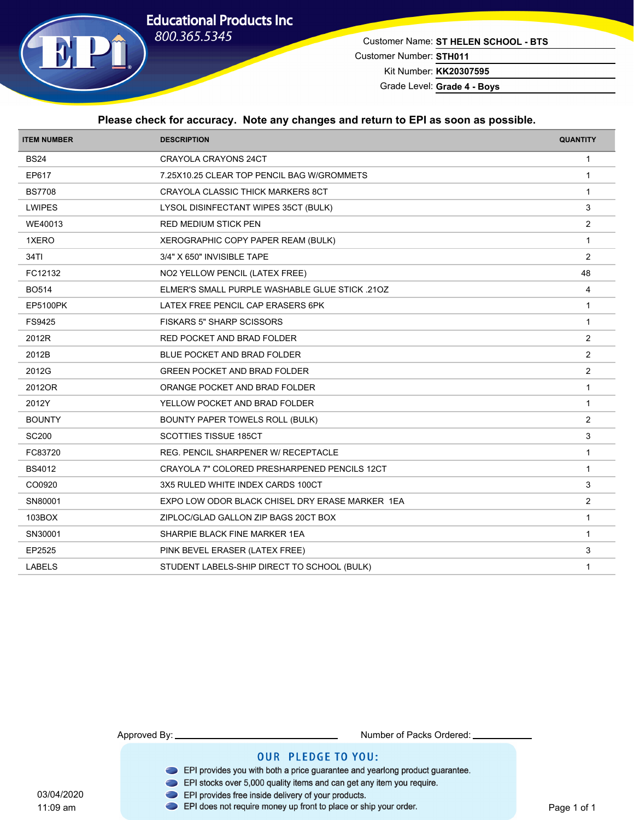

Customer Name: **ST HELEN SCHOOL - BTS** Customer Number: **STH011**

Kit Number: **KK20307595**

Grade Level: **Grade 4 - Boys**

#### **Please check for accuracy. Note any changes and return to EPI as soon as possible.**

| <b>ITEM NUMBER</b> | <b>DESCRIPTION</b>                              | <b>QUANTITY</b> |
|--------------------|-------------------------------------------------|-----------------|
| <b>BS24</b>        | CRAYOLA CRAYONS 24CT                            | $\mathbf{1}$    |
| EP617              | 7.25X10.25 CLEAR TOP PENCIL BAG W/GROMMETS      | $\overline{1}$  |
| <b>BS7708</b>      | CRAYOLA CLASSIC THICK MARKERS 8CT               | $\mathbf{1}$    |
| <b>LWIPES</b>      | LYSOL DISINFECTANT WIPES 35CT (BULK)            | 3               |
| WE40013            | <b>RED MEDIUM STICK PEN</b>                     | 2               |
| 1XERO              | XEROGRAPHIC COPY PAPER REAM (BULK)              | $\overline{1}$  |
| 34TI               | 3/4" X 650" INVISIBLE TAPE                      | 2               |
| FC12132            | NO2 YELLOW PENCIL (LATEX FREE)                  | 48              |
| <b>BO514</b>       | ELMER'S SMALL PURPLE WASHABLE GLUE STICK .21OZ  | $\overline{4}$  |
| <b>EP5100PK</b>    | LATEX FREE PENCIL CAP ERASERS 6PK               | $\mathbf{1}$    |
| FS9425             | <b>FISKARS 5" SHARP SCISSORS</b>                | $\mathbf{1}$    |
| 2012R              | RED POCKET AND BRAD FOLDER                      | $\overline{2}$  |
| 2012B              | BLUE POCKET AND BRAD FOLDER                     | 2               |
| 2012G              | <b>GREEN POCKET AND BRAD FOLDER</b>             | $\overline{2}$  |
| 2012OR             | ORANGE POCKET AND BRAD FOLDER                   | $\mathbf{1}$    |
| 2012Y              | YELLOW POCKET AND BRAD FOLDER                   | $\mathbf{1}$    |
| <b>BOUNTY</b>      | BOUNTY PAPER TOWELS ROLL (BULK)                 | 2               |
| <b>SC200</b>       | SCOTTIES TISSUE 185CT                           | $\mathbf{3}$    |
| FC83720            | REG. PENCIL SHARPENER W/ RECEPTACLE             | $\mathbf{1}$    |
| <b>BS4012</b>      | CRAYOLA 7" COLORED PRESHARPENED PENCILS 12CT    | $\mathbf{1}$    |
| CO0920             | 3X5 RULED WHITE INDEX CARDS 100CT               | 3               |
| SN80001            | EXPO LOW ODOR BLACK CHISEL DRY ERASE MARKER 1EA | $\overline{2}$  |
| 103BOX             | ZIPLOC/GLAD GALLON ZIP BAGS 20CT BOX            | $\mathbf{1}$    |
| SN30001            | SHARPIE BLACK FINE MARKER 1EA                   | $\overline{1}$  |
| EP2525             | PINK BEVEL ERASER (LATEX FREE)                  | 3               |
| <b>LABELS</b>      | STUDENT LABELS-SHIP DIRECT TO SCHOOL (BULK)     | $\mathbf{1}$    |
|                    |                                                 |                 |

11:09 am

Approved By: Number of Packs Ordered:

- EPI provides you with both a price guarantee and yearlong product guarantee.
- EPI stocks over 5,000 quality items and can get any item you require.
- 03/04/2020 EPI provides free inside delivery of your products.
	- EPI does not require money up front to place or ship your order.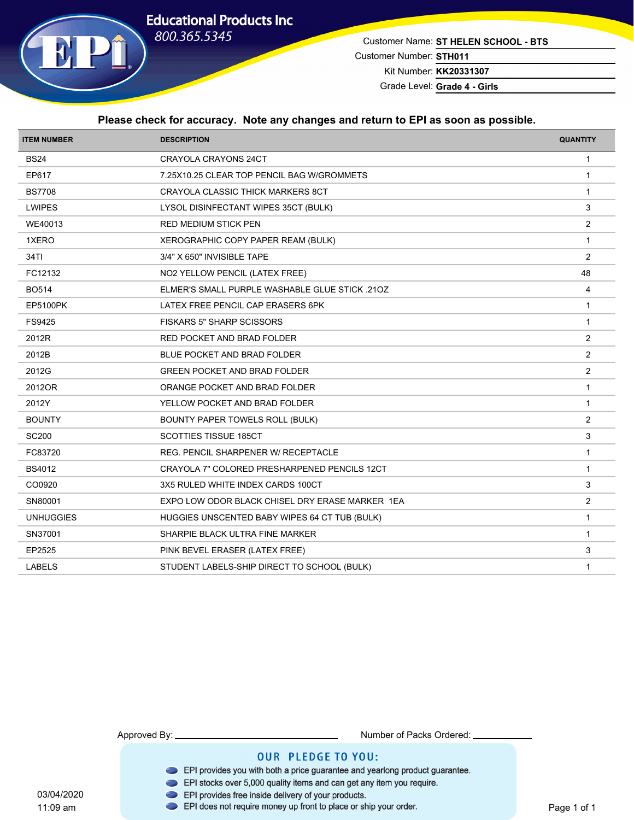

Customer Name: **ST HELEN SCHOOL - BTS** Customer Number: **STH011** Kit Number: **KK20331307**

Grade Level: **Grade 4 - Girls**

#### **Please check for accuracy. Note any changes and return to EPI as soon as possible.**

| <b>ITEM NUMBER</b> | <b>DESCRIPTION</b>                              | <b>QUANTITY</b> |
|--------------------|-------------------------------------------------|-----------------|
| <b>BS24</b>        | <b>CRAYOLA CRAYONS 24CT</b>                     | $\mathbf{1}$    |
| EP617              | 7.25X10.25 CLEAR TOP PENCIL BAG W/GROMMETS      | $\overline{1}$  |
| <b>BS7708</b>      | CRAYOLA CLASSIC THICK MARKERS 8CT               | $\mathbf{1}$    |
| <b>LWIPES</b>      | LYSOL DISINFECTANT WIPES 35CT (BULK)            | 3               |
| WE40013            | <b>RED MEDIUM STICK PEN</b>                     | 2               |
| 1XERO              | XEROGRAPHIC COPY PAPER REAM (BULK)              | $\overline{1}$  |
| 34TI               | 3/4" X 650" INVISIBLE TAPE                      | 2               |
| FC12132            | NO2 YELLOW PENCIL (LATEX FREE)                  | 48              |
| <b>BO514</b>       | ELMER'S SMALL PURPLE WASHABLE GLUE STICK .210Z  | 4               |
| <b>EP5100PK</b>    | LATEX FREE PENCIL CAP ERASERS 6PK               | $\mathbf{1}$    |
| FS9425             | <b>FISKARS 5" SHARP SCISSORS</b>                | $\mathbf{1}$    |
| 2012R              | RED POCKET AND BRAD FOLDER                      | 2               |
| 2012B              | BLUE POCKET AND BRAD FOLDER                     | 2               |
| 2012G              | <b>GREEN POCKET AND BRAD FOLDER</b>             | $\overline{2}$  |
| 2012OR             | ORANGE POCKET AND BRAD FOLDER                   | $\mathbf{1}$    |
| 2012Y              | YELLOW POCKET AND BRAD FOLDER                   | $\mathbf{1}$    |
| <b>BOUNTY</b>      | BOUNTY PAPER TOWELS ROLL (BULK)                 | 2               |
| <b>SC200</b>       | <b>SCOTTIES TISSUE 185CT</b>                    | 3               |
| FC83720            | <b>REG. PENCIL SHARPENER W/ RECEPTACLE</b>      | $\mathbf{1}$    |
| BS4012             | CRAYOLA 7" COLORED PRESHARPENED PENCILS 12CT    | $\mathbf{1}$    |
| CO0920             | 3X5 RULED WHITE INDEX CARDS 100CT               | 3               |
| SN80001            | EXPO LOW ODOR BLACK CHISEL DRY ERASE MARKER 1EA | 2               |
| <b>UNHUGGIES</b>   | HUGGIES UNSCENTED BABY WIPES 64 CT TUB (BULK)   | $\mathbf{1}$    |
| SN37001            | SHARPIE BLACK ULTRA FINE MARKER                 | $\overline{1}$  |
| EP2525             | PINK BEVEL ERASER (LATEX FREE)                  | 3               |
| <b>LABELS</b>      | STUDENT LABELS-SHIP DIRECT TO SCHOOL (BULK)     | $\mathbf{1}$    |
|                    |                                                 |                 |

11:09 am

Approved By: Number of Packs Ordered:

- EPI provides you with both a price guarantee and yearlong product guarantee.
- EPI stocks over 5,000 quality items and can get any item you require.
- 
- 03/04/2020<br>11:09 am **DEPI** provides free inside delivery of your products.<br>11:09 am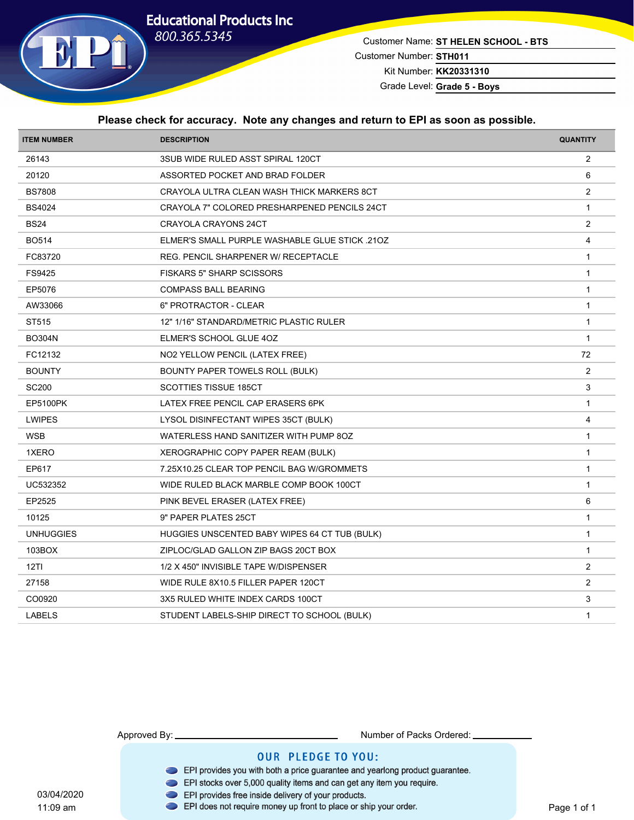

Customer Name: **ST HELEN SCHOOL - BTS** Customer Number: **STH011** Kit Number: **KK20331310**

Grade Level: **Grade 5 - Boys**

#### **Please check for accuracy. Note any changes and return to EPI as soon as possible.**

| <b>ITEM NUMBER</b> | <b>DESCRIPTION</b>                                    | <b>QUANTITY</b>         |
|--------------------|-------------------------------------------------------|-------------------------|
| 26143              | 3SUB WIDE RULED ASST SPIRAL 120CT                     | $\overline{2}$          |
| 20120              | ASSORTED POCKET AND BRAD FOLDER                       | 6                       |
| <b>BS7808</b>      | CRAYOLA ULTRA CLEAN WASH THICK MARKERS 8CT            | 2                       |
| <b>BS4024</b>      | CRAYOLA 7" COLORED PRESHARPENED PENCILS 24CT          | $\mathbf{1}$            |
| <b>BS24</b>        | CRAYOLA CRAYONS 24CT                                  | 2                       |
| <b>BO514</b>       | <b>ELMER'S SMALL PURPLE WASHABLE GLUE STICK .210Z</b> | $\overline{\mathbf{4}}$ |
| FC83720            | REG. PENCIL SHARPENER W/ RECEPTACLE                   | $\mathbf{1}$            |
| FS9425             | <b>FISKARS 5" SHARP SCISSORS</b>                      | $\mathbf{1}$            |
| EP5076             | <b>COMPASS BALL BEARING</b>                           | $\mathbf{1}$            |
| AW33066            | 6" PROTRACTOR - CLEAR                                 | $\mathbf{1}$            |
| ST515              | 12" 1/16" STANDARD/METRIC PLASTIC RULER               | $\mathbf{1}$            |
| <b>BO304N</b>      | ELMER'S SCHOOL GLUE 4OZ                               | $\mathbf{1}$            |
| FC12132            | NO2 YELLOW PENCIL (LATEX FREE)                        | 72                      |
| <b>BOUNTY</b>      | BOUNTY PAPER TOWELS ROLL (BULK)                       | 2                       |
| <b>SC200</b>       | <b>SCOTTIES TISSUE 185CT</b>                          | 3                       |
| <b>EP5100PK</b>    | LATEX FREE PENCIL CAP ERASERS 6PK                     | $\mathbf{1}$            |
| <b>LWIPES</b>      | LYSOL DISINFECTANT WIPES 35CT (BULK)                  | 4                       |
| <b>WSB</b>         | WATERLESS HAND SANITIZER WITH PUMP 8OZ                | $\mathbf{1}$            |
| 1XERO              | XEROGRAPHIC COPY PAPER REAM (BULK)                    | $\mathbf{1}$            |
| EP617              | 7.25X10.25 CLEAR TOP PENCIL BAG W/GROMMETS            | $\mathbf{1}$            |
| UC532352           | WIDE RULED BLACK MARBLE COMP BOOK 100CT               | $\mathbf{1}$            |
| EP2525             | PINK BEVEL ERASER (LATEX FREE)                        | $\,6\,$                 |
| 10125              | 9" PAPER PLATES 25CT                                  | $\mathbf{1}$            |
| <b>UNHUGGIES</b>   | HUGGIES UNSCENTED BABY WIPES 64 CT TUB (BULK)         | $\mathbf{1}$            |
| 103BOX             | ZIPLOC/GLAD GALLON ZIP BAGS 20CT BOX                  | $\mathbf{1}$            |
| 12T1               | 1/2 X 450" INVISIBLE TAPE W/DISPENSER                 | $\overline{2}$          |
| 27158              | WIDE RULE 8X10.5 FILLER PAPER 120CT                   | 2                       |
| CO0920             | 3X5 RULED WHITE INDEX CARDS 100CT                     | 3                       |
| <b>LABELS</b>      | STUDENT LABELS-SHIP DIRECT TO SCHOOL (BULK)           | $\mathbf{1}$            |
|                    |                                                       |                         |

Approved By: Number of Packs Ordered:

- EPI provides you with both a price guarantee and yearlong product guarantee.
- EPI stocks over 5,000 quality items and can get any item you require.
- 
- 03/04/2020<br>11:09 am **DEPI** provides free inside delivery of your products.<br>11:09 am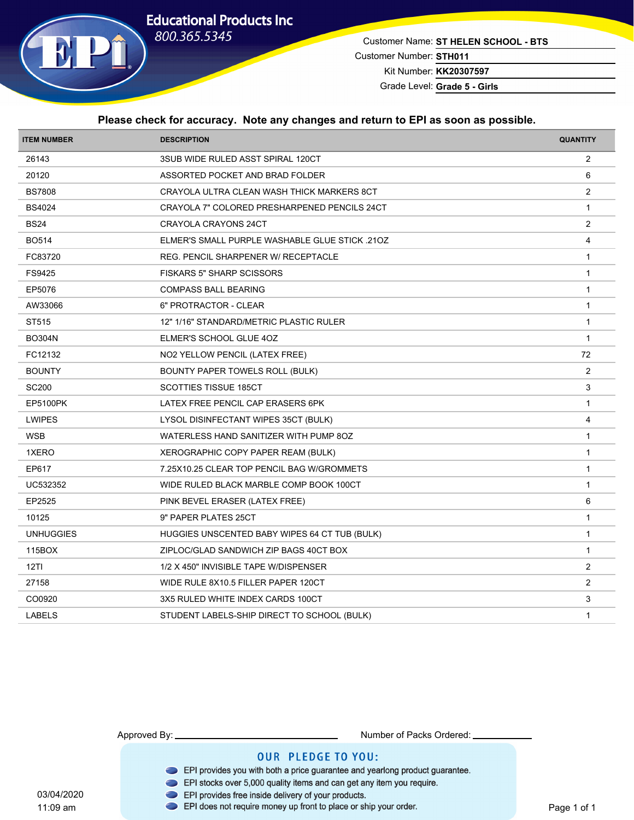

Customer Name: **ST HELEN SCHOOL - BTS** Customer Number: **STH011** Kit Number: **KK20307597**

Grade Level: **Grade 5 - Girls**

#### **Please check for accuracy. Note any changes and return to EPI as soon as possible.**

| 3SUB WIDE RULED ASST SPIRAL 120CT<br>$\overline{2}$<br>6<br>ASSORTED POCKET AND BRAD FOLDER<br>2<br>CRAYOLA ULTRA CLEAN WASH THICK MARKERS 8CT<br>$\mathbf{1}$<br>CRAYOLA 7" COLORED PRESHARPENED PENCILS 24CT<br>2<br>CRAYOLA CRAYONS 24CT<br>$\overline{\mathbf{4}}$<br><b>ELMER'S SMALL PURPLE WASHABLE GLUE STICK .210Z</b><br>REG. PENCIL SHARPENER W/ RECEPTACLE<br>$\mathbf{1}$<br><b>FISKARS 5" SHARP SCISSORS</b><br>$\mathbf{1}$<br>$\mathbf{1}$<br><b>COMPASS BALL BEARING</b><br>6" PROTRACTOR - CLEAR<br>$\mathbf{1}$<br>12" 1/16" STANDARD/METRIC PLASTIC RULER<br>$\mathbf{1}$<br>ELMER'S SCHOOL GLUE 4OZ<br>$\mathbf{1}$<br>72<br>NO2 YELLOW PENCIL (LATEX FREE)<br>2<br>BOUNTY PAPER TOWELS ROLL (BULK)<br>3<br><b>SCOTTIES TISSUE 185CT</b><br>LATEX FREE PENCIL CAP ERASERS 6PK<br>$\mathbf{1}$<br>4<br>LYSOL DISINFECTANT WIPES 35CT (BULK)<br>$\mathbf{1}$<br>WATERLESS HAND SANITIZER WITH PUMP 8OZ<br>$\mathbf{1}$<br>XEROGRAPHIC COPY PAPER REAM (BULK)<br>7.25X10.25 CLEAR TOP PENCIL BAG W/GROMMETS<br>$\mathbf{1}$<br>$\mathbf{1}$<br>WIDE RULED BLACK MARBLE COMP BOOK 100CT<br>$\,6\,$<br>PINK BEVEL ERASER (LATEX FREE)<br>9" PAPER PLATES 25CT<br>$\mathbf{1}$<br>$\mathbf{1}$<br>HUGGIES UNSCENTED BABY WIPES 64 CT TUB (BULK)<br>ZIPLOC/GLAD SANDWICH ZIP BAGS 40CT BOX<br>$\mathbf{1}$<br>$\overline{2}$<br>1/2 X 450" INVISIBLE TAPE W/DISPENSER<br>2<br>WIDE RULE 8X10.5 FILLER PAPER 120CT<br>3<br>3X5 RULED WHITE INDEX CARDS 100CT<br>STUDENT LABELS-SHIP DIRECT TO SCHOOL (BULK)<br>$\mathbf{1}$ | <b>ITEM NUMBER</b> | <b>DESCRIPTION</b> | <b>QUANTITY</b> |
|------------------------------------------------------------------------------------------------------------------------------------------------------------------------------------------------------------------------------------------------------------------------------------------------------------------------------------------------------------------------------------------------------------------------------------------------------------------------------------------------------------------------------------------------------------------------------------------------------------------------------------------------------------------------------------------------------------------------------------------------------------------------------------------------------------------------------------------------------------------------------------------------------------------------------------------------------------------------------------------------------------------------------------------------------------------------------------------------------------------------------------------------------------------------------------------------------------------------------------------------------------------------------------------------------------------------------------------------------------------------------------------------------------------------------------------------------------------------------------------------------------------------------------------|--------------------|--------------------|-----------------|
|                                                                                                                                                                                                                                                                                                                                                                                                                                                                                                                                                                                                                                                                                                                                                                                                                                                                                                                                                                                                                                                                                                                                                                                                                                                                                                                                                                                                                                                                                                                                          | 26143              |                    |                 |
|                                                                                                                                                                                                                                                                                                                                                                                                                                                                                                                                                                                                                                                                                                                                                                                                                                                                                                                                                                                                                                                                                                                                                                                                                                                                                                                                                                                                                                                                                                                                          | 20120              |                    |                 |
|                                                                                                                                                                                                                                                                                                                                                                                                                                                                                                                                                                                                                                                                                                                                                                                                                                                                                                                                                                                                                                                                                                                                                                                                                                                                                                                                                                                                                                                                                                                                          | <b>BS7808</b>      |                    |                 |
|                                                                                                                                                                                                                                                                                                                                                                                                                                                                                                                                                                                                                                                                                                                                                                                                                                                                                                                                                                                                                                                                                                                                                                                                                                                                                                                                                                                                                                                                                                                                          | <b>BS4024</b>      |                    |                 |
|                                                                                                                                                                                                                                                                                                                                                                                                                                                                                                                                                                                                                                                                                                                                                                                                                                                                                                                                                                                                                                                                                                                                                                                                                                                                                                                                                                                                                                                                                                                                          | <b>BS24</b>        |                    |                 |
|                                                                                                                                                                                                                                                                                                                                                                                                                                                                                                                                                                                                                                                                                                                                                                                                                                                                                                                                                                                                                                                                                                                                                                                                                                                                                                                                                                                                                                                                                                                                          | <b>BO514</b>       |                    |                 |
|                                                                                                                                                                                                                                                                                                                                                                                                                                                                                                                                                                                                                                                                                                                                                                                                                                                                                                                                                                                                                                                                                                                                                                                                                                                                                                                                                                                                                                                                                                                                          | FC83720            |                    |                 |
|                                                                                                                                                                                                                                                                                                                                                                                                                                                                                                                                                                                                                                                                                                                                                                                                                                                                                                                                                                                                                                                                                                                                                                                                                                                                                                                                                                                                                                                                                                                                          | FS9425             |                    |                 |
|                                                                                                                                                                                                                                                                                                                                                                                                                                                                                                                                                                                                                                                                                                                                                                                                                                                                                                                                                                                                                                                                                                                                                                                                                                                                                                                                                                                                                                                                                                                                          | EP5076             |                    |                 |
|                                                                                                                                                                                                                                                                                                                                                                                                                                                                                                                                                                                                                                                                                                                                                                                                                                                                                                                                                                                                                                                                                                                                                                                                                                                                                                                                                                                                                                                                                                                                          | AW33066            |                    |                 |
|                                                                                                                                                                                                                                                                                                                                                                                                                                                                                                                                                                                                                                                                                                                                                                                                                                                                                                                                                                                                                                                                                                                                                                                                                                                                                                                                                                                                                                                                                                                                          | ST515              |                    |                 |
|                                                                                                                                                                                                                                                                                                                                                                                                                                                                                                                                                                                                                                                                                                                                                                                                                                                                                                                                                                                                                                                                                                                                                                                                                                                                                                                                                                                                                                                                                                                                          | <b>BO304N</b>      |                    |                 |
|                                                                                                                                                                                                                                                                                                                                                                                                                                                                                                                                                                                                                                                                                                                                                                                                                                                                                                                                                                                                                                                                                                                                                                                                                                                                                                                                                                                                                                                                                                                                          | FC12132            |                    |                 |
|                                                                                                                                                                                                                                                                                                                                                                                                                                                                                                                                                                                                                                                                                                                                                                                                                                                                                                                                                                                                                                                                                                                                                                                                                                                                                                                                                                                                                                                                                                                                          | <b>BOUNTY</b>      |                    |                 |
|                                                                                                                                                                                                                                                                                                                                                                                                                                                                                                                                                                                                                                                                                                                                                                                                                                                                                                                                                                                                                                                                                                                                                                                                                                                                                                                                                                                                                                                                                                                                          | <b>SC200</b>       |                    |                 |
|                                                                                                                                                                                                                                                                                                                                                                                                                                                                                                                                                                                                                                                                                                                                                                                                                                                                                                                                                                                                                                                                                                                                                                                                                                                                                                                                                                                                                                                                                                                                          | <b>EP5100PK</b>    |                    |                 |
|                                                                                                                                                                                                                                                                                                                                                                                                                                                                                                                                                                                                                                                                                                                                                                                                                                                                                                                                                                                                                                                                                                                                                                                                                                                                                                                                                                                                                                                                                                                                          | <b>LWIPES</b>      |                    |                 |
|                                                                                                                                                                                                                                                                                                                                                                                                                                                                                                                                                                                                                                                                                                                                                                                                                                                                                                                                                                                                                                                                                                                                                                                                                                                                                                                                                                                                                                                                                                                                          | <b>WSB</b>         |                    |                 |
|                                                                                                                                                                                                                                                                                                                                                                                                                                                                                                                                                                                                                                                                                                                                                                                                                                                                                                                                                                                                                                                                                                                                                                                                                                                                                                                                                                                                                                                                                                                                          | 1XERO              |                    |                 |
|                                                                                                                                                                                                                                                                                                                                                                                                                                                                                                                                                                                                                                                                                                                                                                                                                                                                                                                                                                                                                                                                                                                                                                                                                                                                                                                                                                                                                                                                                                                                          | EP617              |                    |                 |
|                                                                                                                                                                                                                                                                                                                                                                                                                                                                                                                                                                                                                                                                                                                                                                                                                                                                                                                                                                                                                                                                                                                                                                                                                                                                                                                                                                                                                                                                                                                                          | UC532352           |                    |                 |
|                                                                                                                                                                                                                                                                                                                                                                                                                                                                                                                                                                                                                                                                                                                                                                                                                                                                                                                                                                                                                                                                                                                                                                                                                                                                                                                                                                                                                                                                                                                                          | EP2525             |                    |                 |
|                                                                                                                                                                                                                                                                                                                                                                                                                                                                                                                                                                                                                                                                                                                                                                                                                                                                                                                                                                                                                                                                                                                                                                                                                                                                                                                                                                                                                                                                                                                                          | 10125              |                    |                 |
|                                                                                                                                                                                                                                                                                                                                                                                                                                                                                                                                                                                                                                                                                                                                                                                                                                                                                                                                                                                                                                                                                                                                                                                                                                                                                                                                                                                                                                                                                                                                          | <b>UNHUGGIES</b>   |                    |                 |
|                                                                                                                                                                                                                                                                                                                                                                                                                                                                                                                                                                                                                                                                                                                                                                                                                                                                                                                                                                                                                                                                                                                                                                                                                                                                                                                                                                                                                                                                                                                                          | 115BOX             |                    |                 |
|                                                                                                                                                                                                                                                                                                                                                                                                                                                                                                                                                                                                                                                                                                                                                                                                                                                                                                                                                                                                                                                                                                                                                                                                                                                                                                                                                                                                                                                                                                                                          | 12T1               |                    |                 |
|                                                                                                                                                                                                                                                                                                                                                                                                                                                                                                                                                                                                                                                                                                                                                                                                                                                                                                                                                                                                                                                                                                                                                                                                                                                                                                                                                                                                                                                                                                                                          | 27158              |                    |                 |
|                                                                                                                                                                                                                                                                                                                                                                                                                                                                                                                                                                                                                                                                                                                                                                                                                                                                                                                                                                                                                                                                                                                                                                                                                                                                                                                                                                                                                                                                                                                                          | CO0920             |                    |                 |
|                                                                                                                                                                                                                                                                                                                                                                                                                                                                                                                                                                                                                                                                                                                                                                                                                                                                                                                                                                                                                                                                                                                                                                                                                                                                                                                                                                                                                                                                                                                                          | <b>LABELS</b>      |                    |                 |

Approved By: Number of Packs Ordered:

- EPI provides you with both a price guarantee and yearlong product guarantee.
- EPI stocks over 5,000 quality items and can get any item you require.
- 
- 03/04/2020<br>11:09 am **DEPI** provides free inside delivery of your products.<br>11:09 am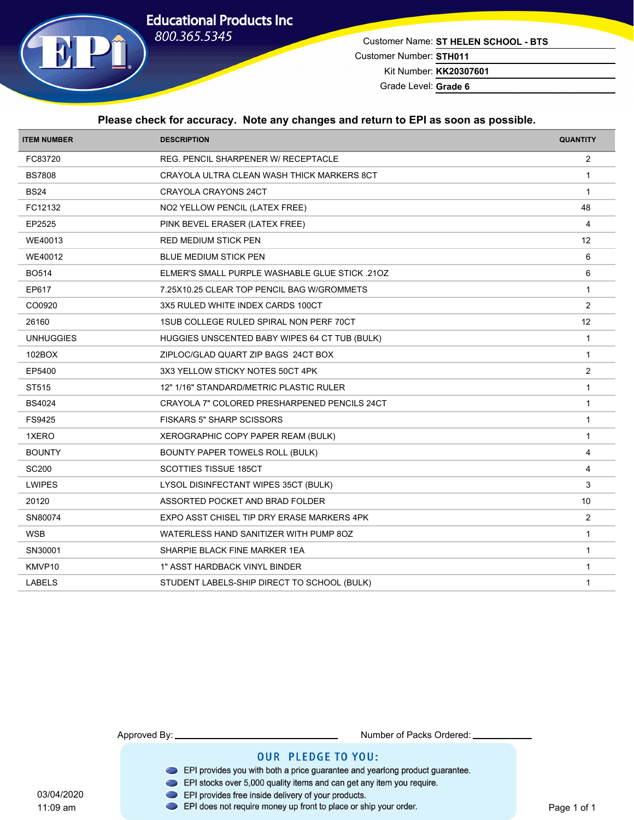

Customer Name: **ST HELEN SCHOOL - BTS** Customer Number: **STH011** Kit Number: **KK20307601**

Grade Level: **Grade 6**

#### **Please check for accuracy. Note any changes and return to EPI as soon as possible.**

| <b>ITEM NUMBER</b> | <b>DESCRIPTION</b>                             | <b>QUANTITY</b> |
|--------------------|------------------------------------------------|-----------------|
| FC83720            | REG. PENCIL SHARPENER W/ RECEPTACLE            | $\overline{2}$  |
| <b>BS7808</b>      | CRAYOLA ULTRA CLEAN WASH THICK MARKERS 8CT     | $\mathbf 1$     |
| <b>BS24</b>        | CRAYOLA CRAYONS 24CT                           | $\overline{1}$  |
| FC12132            | NO2 YELLOW PENCIL (LATEX FREE)                 | 48              |
| EP2525             | PINK BEVEL ERASER (LATEX FREE)                 | $\overline{4}$  |
| WE40013            | RED MEDIUM STICK PEN                           | 12              |
| WE40012            | <b>BLUE MEDIUM STICK PEN</b>                   | 6               |
| <b>BO514</b>       | ELMER'S SMALL PURPLE WASHABLE GLUE STICK .210Z | 6               |
| EP617              | 7.25X10.25 CLEAR TOP PENCIL BAG W/GROMMETS     | $\mathbf{1}$    |
| CO0920             | 3X5 RULED WHITE INDEX CARDS 100CT              | 2               |
| 26160              | 1SUB COLLEGE RULED SPIRAL NON PERF 70CT        | 12              |
| <b>UNHUGGIES</b>   | HUGGIES UNSCENTED BABY WIPES 64 CT TUB (BULK)  | $\mathbf{1}$    |
| 102BOX             | ZIPLOC/GLAD QUART ZIP BAGS 24CT BOX            | $\overline{1}$  |
| EP5400             | 3X3 YELLOW STICKY NOTES 50CT 4PK               | $\overline{2}$  |
| ST515              | 12" 1/16" STANDARD/METRIC PLASTIC RULER        | $\mathbf{1}$    |
| <b>BS4024</b>      | CRAYOLA 7" COLORED PRESHARPENED PENCILS 24CT   | $\mathbf{1}$    |
| FS9425             | <b>FISKARS 5" SHARP SCISSORS</b>               | $\mathbf{1}$    |
| 1XERO              | XEROGRAPHIC COPY PAPER REAM (BULK)             | $\mathbf{1}$    |
| <b>BOUNTY</b>      | BOUNTY PAPER TOWELS ROLL (BULK)                | $\overline{4}$  |
| <b>SC200</b>       | <b>SCOTTIES TISSUE 185CT</b>                   | $\overline{4}$  |
| <b>LWIPES</b>      | LYSOL DISINFECTANT WIPES 35CT (BULK)           | 3               |
| 20120              | ASSORTED POCKET AND BRAD FOLDER                | 10              |
| SN80074            | EXPO ASST CHISEL TIP DRY ERASE MARKERS 4PK     | $\overline{2}$  |
| <b>WSB</b>         | WATERLESS HAND SANITIZER WITH PUMP 8OZ         | $\overline{1}$  |
| SN30001            | SHARPIE BLACK FINE MARKER 1EA                  | $\mathbf{1}$    |
| KMVP10             | 1" ASST HARDBACK VINYL BINDER                  | $\overline{1}$  |
| <b>LABELS</b>      | STUDENT LABELS-SHIP DIRECT TO SCHOOL (BULK)    | $\mathbf 1$     |

11:09 am

Approved By: Number of Packs Ordered:

- EPI provides you with both a price guarantee and yearlong product guarantee.
- EPI stocks over 5,000 quality items and can get any item you require.
- 
- 03/04/2020<br>11:09 am **DEPI** provides free inside delivery of your products.<br>11:09 am